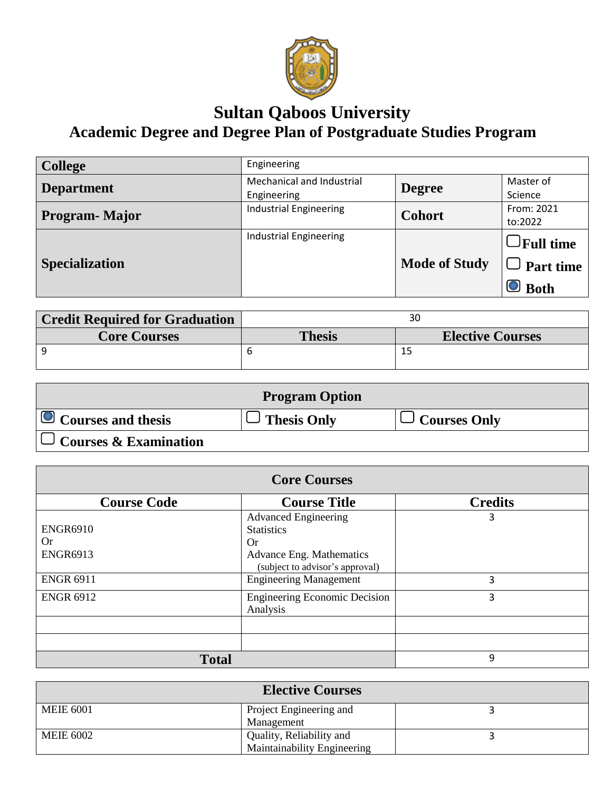

## **Sultan Qaboos University Academic Degree and Degree Plan of Postgraduate Studies Program**

| <b>College</b>        | Engineering                              |                      |                                                        |
|-----------------------|------------------------------------------|----------------------|--------------------------------------------------------|
| <b>Department</b>     | Mechanical and Industrial<br>Engineering | <b>Degree</b>        | Master of<br>Science                                   |
| Program-Major         | <b>Industrial Engineering</b>            | <b>Cohort</b>        | From: 2021<br>to:2022                                  |
| <b>Specialization</b> | <b>Industrial Engineering</b>            | <b>Mode of Study</b> | $\bigcup$ Full time<br>$\cup$ Part time<br>$\Box$ Both |

| <b>Credit Required for Graduation</b> |               |                         |
|---------------------------------------|---------------|-------------------------|
| <b>Core Courses</b>                   | <b>Thesis</b> | <b>Elective Courses</b> |
|                                       |               |                         |

| <b>Program Option</b>        |             |                     |
|------------------------------|-------------|---------------------|
| $\Box$ Courses and thesis    | Thesis Only | $\Box$ Courses Only |
| $\cup$ Courses & Examination |             |                     |

| <b>Core Courses</b>                             |                                                                                                                                     |                |
|-------------------------------------------------|-------------------------------------------------------------------------------------------------------------------------------------|----------------|
| <b>Course Code</b>                              | <b>Course Title</b>                                                                                                                 | <b>Credits</b> |
| <b>ENGR6910</b><br><b>Or</b><br><b>ENGR6913</b> | <b>Advanced Engineering</b><br><b>Statistics</b><br><b>Or</b><br><b>Advance Eng. Mathematics</b><br>(subject to advisor's approval) | 3              |
| <b>ENGR 6911</b>                                | <b>Engineering Management</b>                                                                                                       | 3              |
| <b>ENGR 6912</b>                                | <b>Engineering Economic Decision</b><br>Analysis                                                                                    | 3              |
|                                                 |                                                                                                                                     |                |
|                                                 |                                                                                                                                     |                |
| <b>Total</b>                                    |                                                                                                                                     | 9              |

| <b>Elective Courses</b> |                                                                |  |
|-------------------------|----------------------------------------------------------------|--|
| <b>MEIE 6001</b>        | Project Engineering and<br>Management                          |  |
| <b>MEIE 6002</b>        | Quality, Reliability and<br><b>Maintainability Engineering</b> |  |